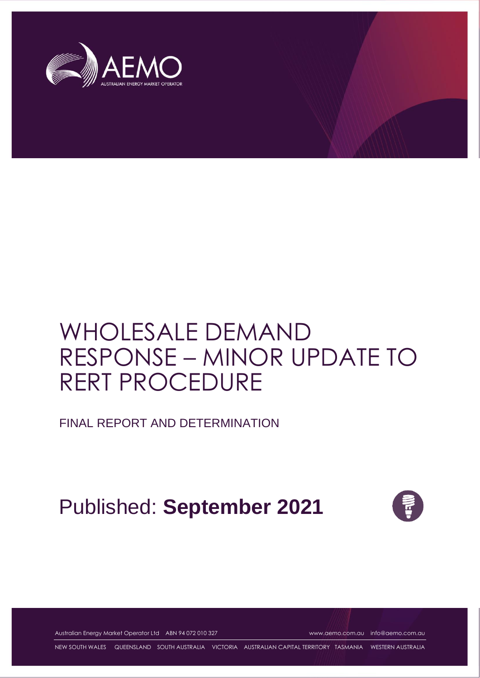

# WHOLESALE DEMAND RESPONSE – MINOR UPDATE TO RERT PROCEDURE

FINAL REPORT AND DETERMINATION

Published: **September 2021**



Australian Energy Market Operator Ltd ABN 94 072 010 327 [www.aemo.com.au](http://www.aemo.com.au/) [info@aemo.com.au](mailto:info@aemo.com.au)

NEW SOUTH WALES QUEENSLAND SOUTH AUSTRALIA VICTORIA AUSTRALIAN CAPITAL TERRITORY TASMANIA WESTERN AUSTRALIA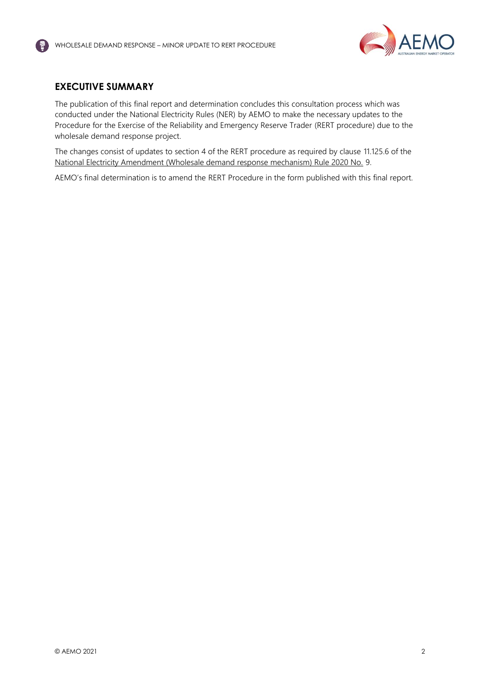

#### <span id="page-1-0"></span>**EXECUTIVE SUMMARY**

The publication of this final report and determination concludes this consultation process which was conducted under the National Electricity Rules (NER) by AEMO to make the necessary updates to the Procedure for the Exercise of the Reliability and Emergency Reserve Trader (RERT procedure) due to the wholesale demand response project.

The changes consist of updates to section 4 of the RERT procedure as required by clause 11.125.6 of the [National Electricity Amendment \(Wholesale demand response mechanism\) Rule 2020 No.](https://www.aemc.gov.au/sites/default/files/2020-10/ERC0247%20Published%20rule%20with%20note.pdf) 9.

AEMO's final determination is to amend the RERT Procedure in the form published with this final report.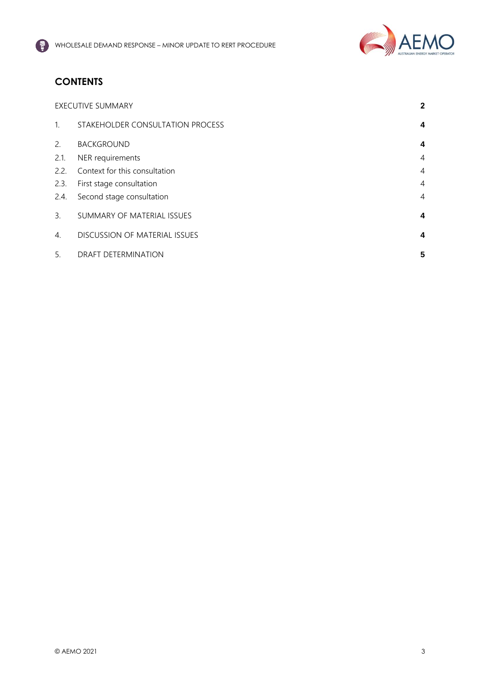

## **CONTENTS**

| <b>EXECUTIVE SUMMARY</b> |                                  | $\mathbf{2}$   |
|--------------------------|----------------------------------|----------------|
| 1 <sup>1</sup>           | STAKEHOLDER CONSULTATION PROCESS | 4              |
| 2.                       | <b>BACKGROUND</b>                | 4              |
| 2.1.                     | NER requirements                 | $\overline{4}$ |
| 2.2.                     | Context for this consultation    | $\overline{4}$ |
| 2.3.                     | First stage consultation         | $\overline{4}$ |
| 2.4.                     | Second stage consultation        | 4              |
| 3.                       | SUMMARY OF MATERIAL ISSUES       | 4              |
| 4.                       | DISCUSSION OF MATERIAL ISSUES    | 4              |
| 5.                       | <b>DRAFT DETERMINATION</b>       | 5              |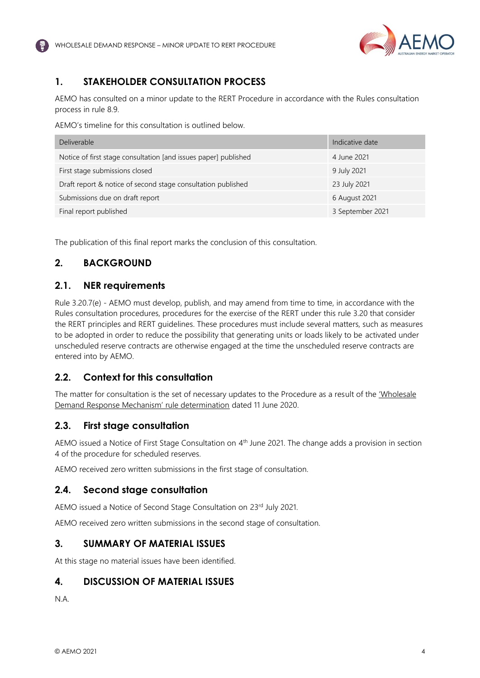

## <span id="page-3-0"></span>**1. STAKEHOLDER CONSULTATION PROCESS**

AEMO has consulted on a minor update to the RERT Procedure in accordance with the Rules consultation process in rule 8.9.

AEMO's timeline for this consultation is outlined below.

| <b>Deliverable</b>                                              | Indicative date  |
|-----------------------------------------------------------------|------------------|
| Notice of first stage consultation [and issues paper] published | 4 June 2021      |
| First stage submissions closed                                  | 9 July 2021      |
| Draft report & notice of second stage consultation published    | 23 July 2021     |
| Submissions due on draft report                                 | 6 August 2021    |
| Final report published                                          | 3 September 2021 |

The publication of this final report marks the conclusion of this consultation.

### <span id="page-3-1"></span>**2. BACKGROUND**

#### <span id="page-3-2"></span>**2.1. NER requirements**

Rule 3.20.7(e) - AEMO must develop, publish, and may amend from time to time, in accordance with the Rules consultation procedures, procedures for the exercise of the RERT under this rule 3.20 that consider the RERT principles and RERT guidelines. These procedures must include several matters, such as measures to be adopted in order to reduce the possibility that generating units or loads likely to be activated under unscheduled reserve contracts are otherwise engaged at the time the unscheduled reserve contracts are entered into by AEMO.

#### <span id="page-3-3"></span>**2.2. Context for this consultation**

The matter for consultation is the set of necessary updates to the Procedure as a result of the ['Wholesale](https://www.aemc.gov.au/rule-changes/wholesale-demand-response-mechanism)  [Demand Response Mechanism' rule determination](https://www.aemc.gov.au/rule-changes/wholesale-demand-response-mechanism) dated 11 June 2020.

#### <span id="page-3-4"></span>**2.3. First stage consultation**

AEMO issued a Notice of First Stage Consultation on 4<sup>th</sup> June 2021. The change adds a provision in section 4 of the procedure for scheduled reserves.

AEMO received zero written submissions in the first stage of consultation.

#### <span id="page-3-5"></span>**2.4. Second stage consultation**

AEMO issued a Notice of Second Stage Consultation on 23rd July 2021.

AEMO received zero written submissions in the second stage of consultation.

#### <span id="page-3-6"></span>**3. SUMMARY OF MATERIAL ISSUES**

At this stage no material issues have been identified.

#### <span id="page-3-7"></span>**4. DISCUSSION OF MATERIAL ISSUES**

N.A.